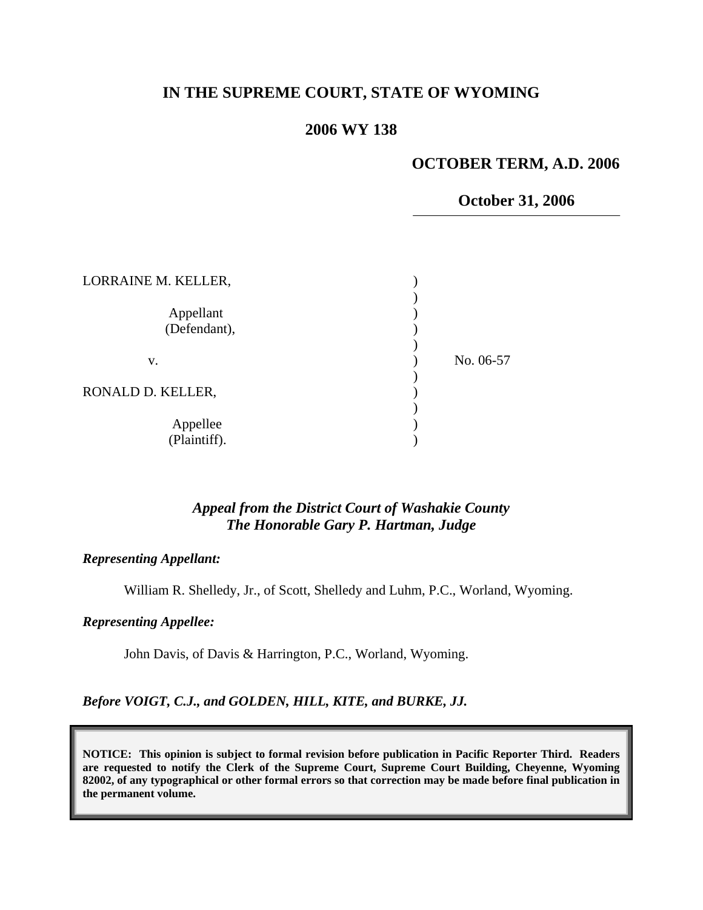# **IN THE SUPREME COURT, STATE OF WYOMING**

# **2006 WY 138**

# **OCTOBER TERM, A.D. 2006**

### **October 31, 2006**

| LORRAINE M. KELLER,       |           |
|---------------------------|-----------|
| Appellant<br>(Defendant), |           |
| V.                        | No. 06-57 |
| RONALD D. KELLER,         |           |
| Appellee<br>(Plaintiff).  |           |

### *Appeal from the District Court of Washakie County The Honorable Gary P. Hartman, Judge*

#### *Representing Appellant:*

William R. Shelledy, Jr., of Scott, Shelledy and Luhm, P.C., Worland, Wyoming.

#### *Representing Appellee:*

John Davis, of Davis & Harrington, P.C., Worland, Wyoming.

#### *Before VOIGT, C.J., and GOLDEN, HILL, KITE, and BURKE, JJ.*

**NOTICE: This opinion is subject to formal revision before publication in Pacific Reporter Third. Readers are requested to notify the Clerk of the Supreme Court, Supreme Court Building, Cheyenne, Wyoming 82002, of any typographical or other formal errors so that correction may be made before final publication in the permanent volume.**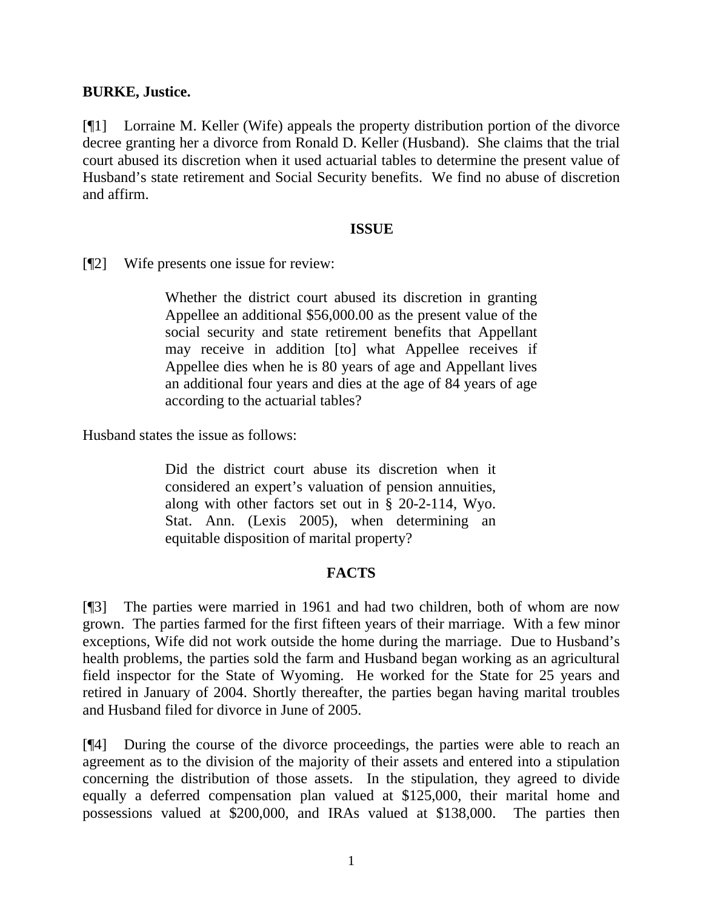### **BURKE, Justice.**

[¶1] Lorraine M. Keller (Wife) appeals the property distribution portion of the divorce decree granting her a divorce from Ronald D. Keller (Husband). She claims that the trial court abused its discretion when it used actuarial tables to determine the present value of Husband's state retirement and Social Security benefits. We find no abuse of discretion and affirm.

### **ISSUE**

[¶2] Wife presents one issue for review:

Whether the district court abused its discretion in granting Appellee an additional \$56,000.00 as the present value of the social security and state retirement benefits that Appellant may receive in addition [to] what Appellee receives if Appellee dies when he is 80 years of age and Appellant lives an additional four years and dies at the age of 84 years of age according to the actuarial tables?

Husband states the issue as follows:

Did the district court abuse its discretion when it considered an expert's valuation of pension annuities, along with other factors set out in § 20-2-114, Wyo. Stat. Ann. (Lexis 2005), when determining an equitable disposition of marital property?

# **FACTS**

[¶3] The parties were married in 1961 and had two children, both of whom are now grown. The parties farmed for the first fifteen years of their marriage. With a few minor exceptions, Wife did not work outside the home during the marriage. Due to Husband's health problems, the parties sold the farm and Husband began working as an agricultural field inspector for the State of Wyoming. He worked for the State for 25 years and retired in January of 2004. Shortly thereafter, the parties began having marital troubles and Husband filed for divorce in June of 2005.

[¶4] During the course of the divorce proceedings, the parties were able to reach an agreement as to the division of the majority of their assets and entered into a stipulation concerning the distribution of those assets. In the stipulation, they agreed to divide equally a deferred compensation plan valued at \$125,000, their marital home and possessions valued at \$200,000, and IRAs valued at \$138,000. The parties then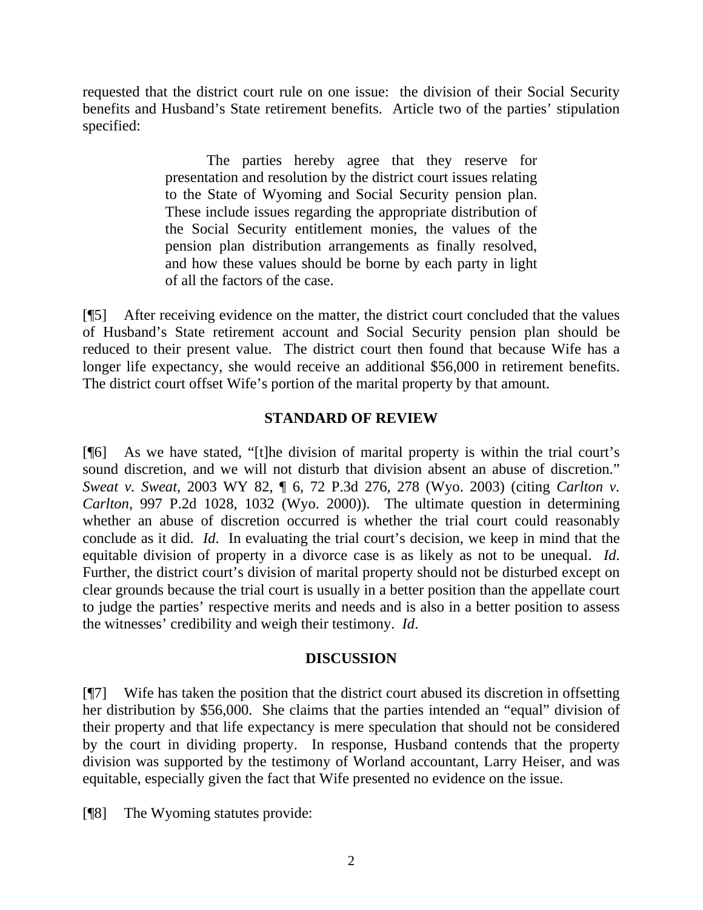requested that the district court rule on one issue: the division of their Social Security benefits and Husband's State retirement benefits. Article two of the parties' stipulation specified:

> The parties hereby agree that they reserve for presentation and resolution by the district court issues relating to the State of Wyoming and Social Security pension plan. These include issues regarding the appropriate distribution of the Social Security entitlement monies, the values of the pension plan distribution arrangements as finally resolved, and how these values should be borne by each party in light of all the factors of the case.

[¶5] After receiving evidence on the matter, the district court concluded that the values of Husband's State retirement account and Social Security pension plan should be reduced to their present value. The district court then found that because Wife has a longer life expectancy, she would receive an additional \$56,000 in retirement benefits. The district court offset Wife's portion of the marital property by that amount.

## **STANDARD OF REVIEW**

[¶6] As we have stated, "[t]he division of marital property is within the trial court's sound discretion, and we will not disturb that division absent an abuse of discretion." *Sweat v. Sweat*, 2003 WY 82, ¶ 6, 72 P.3d 276, 278 (Wyo. 2003) (citing *Carlton v. Carlton*, 997 P.2d 1028, 1032 (Wyo. 2000)). The ultimate question in determining whether an abuse of discretion occurred is whether the trial court could reasonably conclude as it did. *Id*. In evaluating the trial court's decision, we keep in mind that the equitable division of property in a divorce case is as likely as not to be unequal. *Id*. Further, the district court's division of marital property should not be disturbed except on clear grounds because the trial court is usually in a better position than the appellate court to judge the parties' respective merits and needs and is also in a better position to assess the witnesses' credibility and weigh their testimony. *Id*.

### **DISCUSSION**

[¶7] Wife has taken the position that the district court abused its discretion in offsetting her distribution by \$56,000. She claims that the parties intended an "equal" division of their property and that life expectancy is mere speculation that should not be considered by the court in dividing property. In response, Husband contends that the property division was supported by the testimony of Worland accountant, Larry Heiser, and was equitable, especially given the fact that Wife presented no evidence on the issue.

[¶8] The Wyoming statutes provide: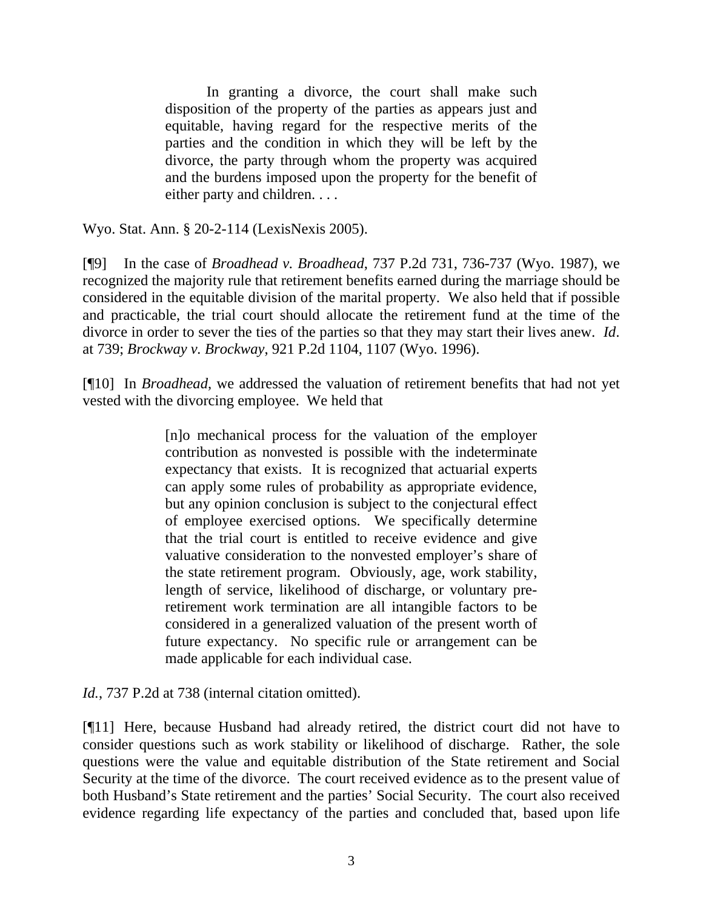In granting a divorce, the court shall make such disposition of the property of the parties as appears just and equitable, having regard for the respective merits of the parties and the condition in which they will be left by the divorce, the party through whom the property was acquired and the burdens imposed upon the property for the benefit of either party and children. . . .

Wyo. Stat. Ann. § 20-2-114 (LexisNexis 2005).

[¶9] In the case of *Broadhead v. Broadhead*, 737 P.2d 731, 736-737 (Wyo. 1987), we recognized the majority rule that retirement benefits earned during the marriage should be considered in the equitable division of the marital property. We also held that if possible and practicable, the trial court should allocate the retirement fund at the time of the divorce in order to sever the ties of the parties so that they may start their lives anew. *Id*. at 739; *Brockway v. Brockway*, 921 P.2d 1104, 1107 (Wyo. 1996).

[¶10] In *Broadhead*, we addressed the valuation of retirement benefits that had not yet vested with the divorcing employee. We held that

> [n]o mechanical process for the valuation of the employer contribution as nonvested is possible with the indeterminate expectancy that exists. It is recognized that actuarial experts can apply some rules of probability as appropriate evidence, but any opinion conclusion is subject to the conjectural effect of employee exercised options. We specifically determine that the trial court is entitled to receive evidence and give valuative consideration to the nonvested employer's share of the state retirement program. Obviously, age, work stability, length of service, likelihood of discharge, or voluntary preretirement work termination are all intangible factors to be considered in a generalized valuation of the present worth of future expectancy. No specific rule or arrangement can be made applicable for each individual case.

*Id.*, 737 P.2d at 738 (internal citation omitted).

[¶11] Here, because Husband had already retired, the district court did not have to consider questions such as work stability or likelihood of discharge. Rather, the sole questions were the value and equitable distribution of the State retirement and Social Security at the time of the divorce. The court received evidence as to the present value of both Husband's State retirement and the parties' Social Security. The court also received evidence regarding life expectancy of the parties and concluded that, based upon life